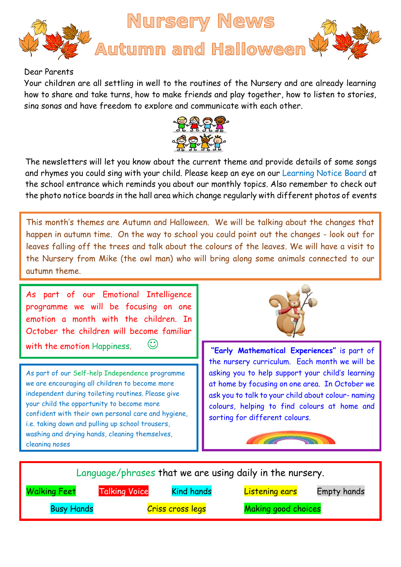

## Dear Parents

Your children are all settling in well to the routines of the Nursery and are already learning how to share and take turns, how to make friends and play together, how to listen to stories, sing songs and have freedom to explore and communicate with each other.



The newsletters will let you know about the current theme and provide details of some songs and rhymes you could sing with your child. Please keep an eye on our Learning Notice Board at the school entrance which reminds you about our monthly topics. Also remember to check out the photo notice boards in the hall area which change regularly with different photos of events

This month's themes are Autumn and Halloween. We will be talking about the changes that happen in autumn time. On the way to school you could point out the changes - look out for leaves falling off the trees and talk about the colours of the leaves. We will have a visit to the Nursery from Mike (the owl man) who will bring along some animals connected to our autumn theme.

As part of our Emotional Intelligence programme we will be focusing on one emotion a month with the children. In October the children will become familiar

with the emotion Happiness.  $\heartsuit$  **"Early Mathematical Experiences"** is part of

As part of our Self-help Independence programme we are encouraging all children to become more independent during toileting routines. Please give your child the opportunity to become more confident with their own personal care and hygiene, i.e. taking down and pulling up school trousers, washing and drying hands, cleaning themselves, cleaning noses



the nursery curriculum. Each month we will be asking you to help support your child's learning at home by focusing on one area. In October we ask you to talk to your child about colour- naming colours, helping to find colours at home and sorting for different colours.



Language/phrases that we are using daily in the nursery. Walking Feet Talking Voice Kind hands Listening ears Empty hands Busy Hands **Example 2** Criss cross legs Making good choices